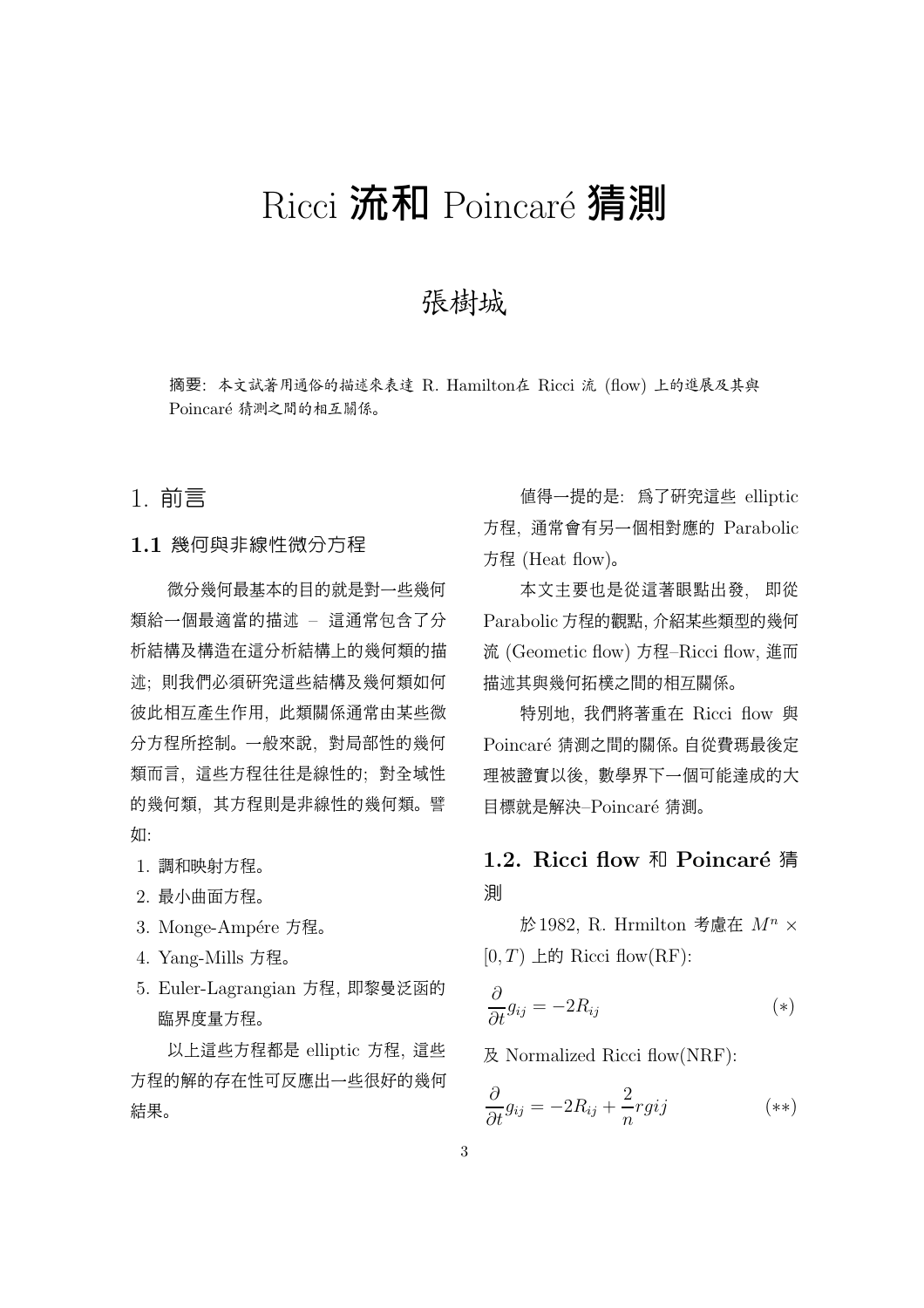# Ricci 流和 Poincaré 猜測

# 張樹城

摘要: 本文試著用通俗的描述來表達 R. Hamilton在 Ricci 流 (flow) 上的進展及其與 Poincaré 猜測之間的相互關係。

### 1. 前言

#### 1.1 幾何與非線性微分方程

微分幾何最基本的目的就是對一些幾何 類給一個最適當的描述 – 這通常包含了分 析結構及構造在這分析結構上的幾何類的描 述; 則我們必須研究這些結構及幾何類如何 彼此相互產生作用, 此類關係通常由某些微 分方程所控制。 一般來說, 對局部性的幾何 類而言, 這些方程往往是線性的; 對全域性 的幾何類, 其方程則是非線性的幾何類。 譬 如:

- 1. 調和映射方程。
- 2. 最小曲面方程。
- 3. Monge-Ampére 方程。
- 4. Yang-Mills 方程。
- 5. Euler-Lagrangian 方程, 即黎曼泛函的 臨界度量方程。

以上這些方程都是 elliptic 方程, 這些 方程的解的存在性可反應出一些很好的幾何 結果。

值得一提的是: 為了研究這些 elliptic 方程, 通常會有另一個相對應的 Parabolic 方程 (Heat flow)。

本文主要也是從這著眼點出發, 即從 Parabolic 方程的觀點, 介紹某些類型的幾何 流 (Geometic flow) 方程–Ricci flow, 進而 描述其與幾何拓樸之間的相互關係。

特別地, 我們將著重在 Ricci flow 與 Poincaré 猜測之間的關係。 自從費瑪最後定 理被證實以後, 數學界下一個可能達成的大 目標就是解決–Poincaré 猜測。

# 1.2. Ricci flow 和 Poincaré 猜 測

於1982, R. Hrmilton 考慮在  $M^n$   $\times$  $[0, T)$  上的 Ricci flow(RF):

$$
\frac{\partial}{\partial t}g_{ij} = -2R_{ij} \tag{*}
$$

及 Normalized Ricci flow(NRF):

$$
\frac{\partial}{\partial t}g_{ij} = -2R_{ij} + \frac{2}{n}rgij \tag{**}
$$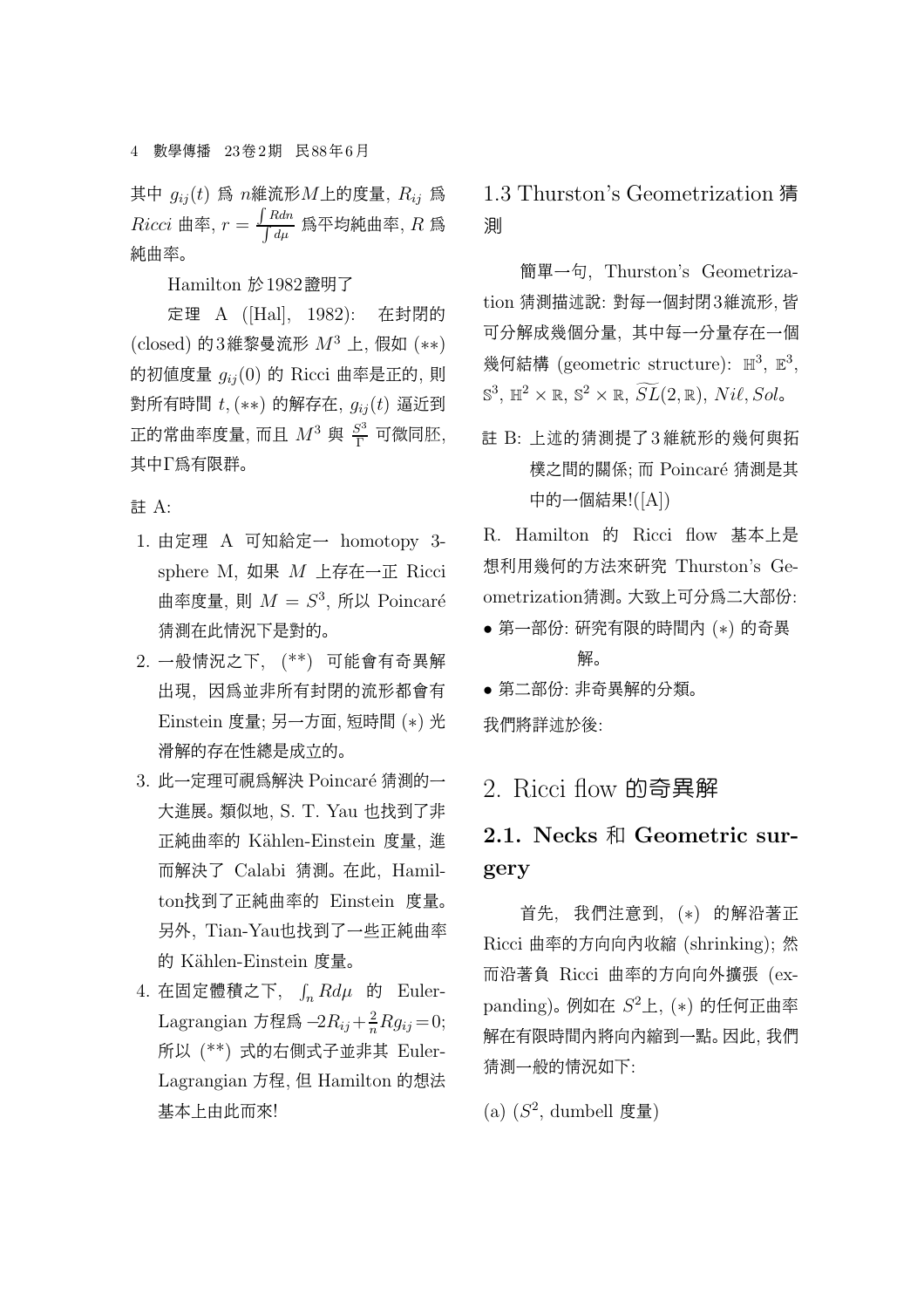其中  $g_{ij}(t)$  爲  $n$ 維流形 $M$ 上的度量,  $R_{ij}$  爲  $Ricci$  曲率,  $r = \frac{\int Rdn}{\int d\mu}$  爲平均純曲率, R 爲 純曲率。

Hamilton 於1982證明了

定理 A ([Hal], 1982): 在封閉的  $\left(\text{closed}\right)$  的3維黎曼流形  $M^3$  上, 假如  $(**)$ 的初值度量  $q_{ij}(0)$  的 Ricci 曲率是正的, 則 對所有時間 $t$ ,  $(**)$  的解存在,  $g_{ij}(t)$  逼近到 正的常曲率度量, 而且  $M^3$  與  $\frac{S^3}{\Gamma}$  可微同胚, 其中Γ為有限群。

註 A:

- 1. 由定理 A 可知給定一 homotopy 3 sphere M, 如果 M 上存在一正 Ricci 曲率度量, 則  $M = S^3$ , 所以 Poincaré 猜測在此情況下是對的。
- 2. 一般情況之下, (\*\*) 可能會有奇異解 出現, 因為並非所有封閉的流形都會有 Einstein 度量; 另一方面, 短時間 (∗) 光 滑解的存在性總是成立的。
- 3. 此一定理可視為解決 Poincaré 猜測的一 大進展。 類似地, S. T. Yau 也找到了非 正純曲率的 K¨ahlen-Einstein 度量, 進 而解決了 Calabi 猜測。 在此, Hamilton找到了正純曲率的 Einstein 度量。 另外, Tian-Yau也找到了一些正純曲率 的 Kählen-Einstein 度量。
- 4. 在固定體積之下,  $\int_n R d\mu$  的 Euler-Lagrangian 方程爲  $-2R_{ij} + \frac{2}{n}Rg_{ij} = 0;$ 所以 (\*\*) 式的右側式子並非其 Euler-Lagrangian 方程, 但 Hamilton 的想法 基本上由此而來!

1.3 Thurston's Geometrization 猜 測

簡單一句, Thurston's Geometrization 猜測描述說: 對每一個封閉3維流形, 皆 可分解成幾個分量, 其中每一分量存在一個 幾何結構 (geometric structure):  $\mathbb{H}^3$ ,  $\mathbb{E}^3$ ,  $\mathbb{S}^3$ ,  $\mathbb{H}^2 \times \mathbb{R}$ ,  $\mathbb{S}^2 \times \mathbb{R}$ ,  $\widetilde{SL}(2, \mathbb{R})$ ,  $Ni\ell$ ,  $Sol\circ$ 

註 B: 上述的猜測提了3 維統形的幾何與拓 樸之間的關係; 而 Poincaré 猜測是其 中的一個結果!([A])

R. Hamilton 的 Ricci flow 基本上是 想利用幾何的方法來研究 Thurston's Geometrization猜測。 大致上可分為二大部份:

- 第一部份: 研究有限的時間內 (∗) 的奇異 解。
- 第二部份: 非奇異解的分類。 我們將詳述於後:

2. Ricci flow 的奇異解

# 2.1. Necks 和 Geometric surgery

首先, 我們注意到, (∗) 的解沿著正 Ricci 曲率的方向向內收縮 (shrinking); 然 而沿著負 Ricci 曲率的方向向外擴張 (expanding)。 例如在  $S^2$ 上,  $(*)$  的任何正曲率 解在有限時間內將向內縮到一點。 因此, 我們 猜測一般的情況如下:

 $(a)$   $(S^2$ , dumbell 度量)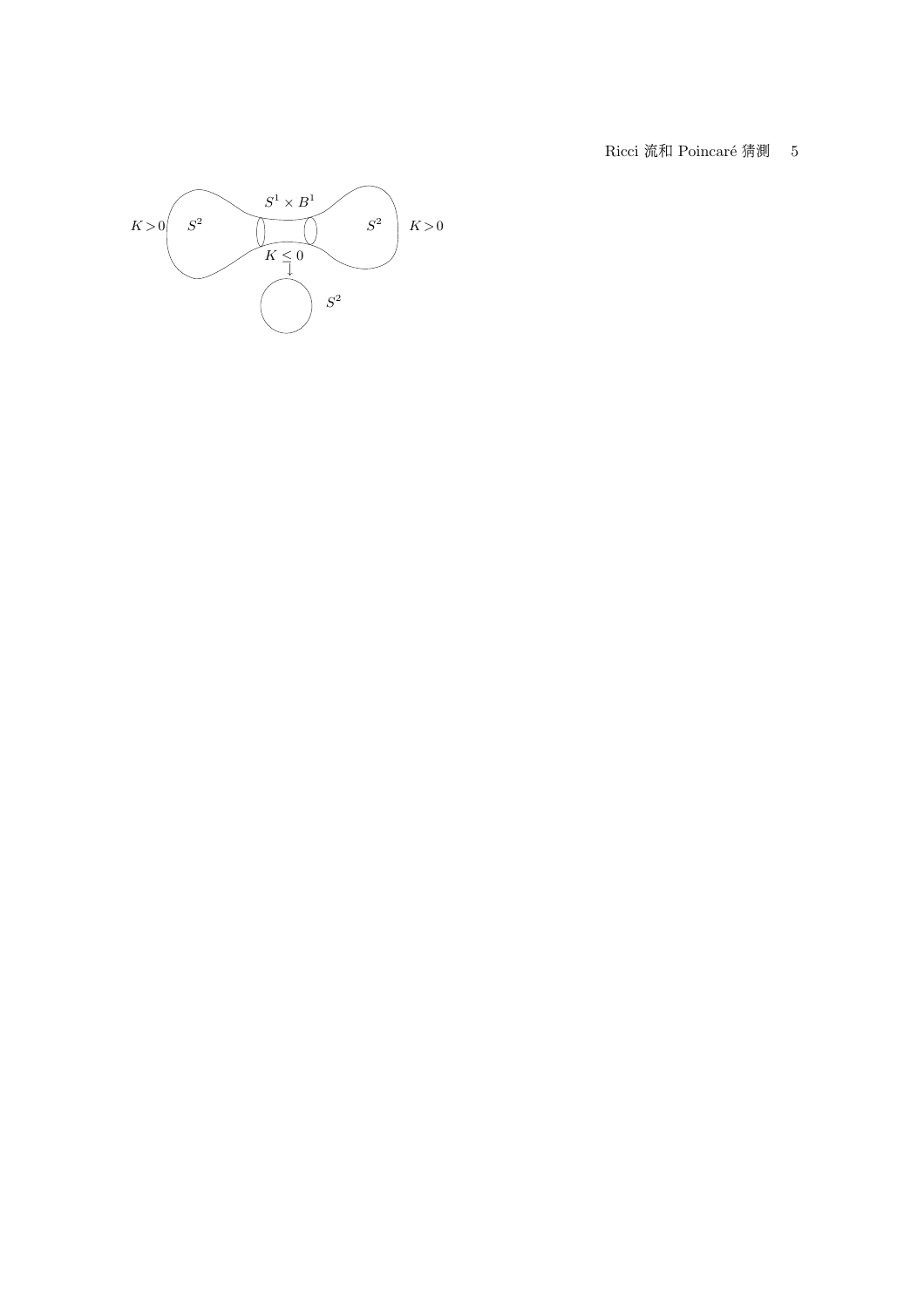Ricci 流和 Poincaré 猜測 5

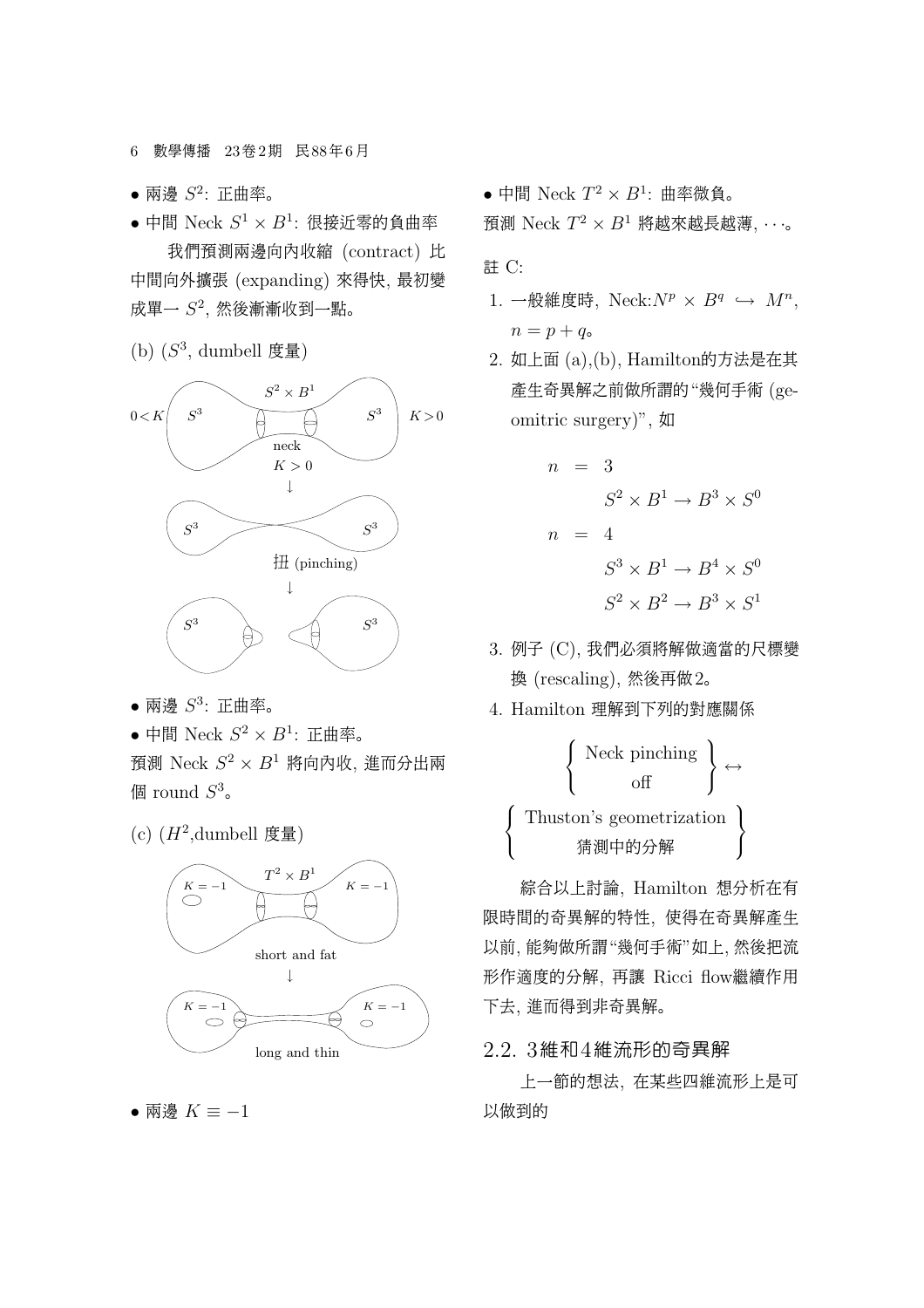6 數學傳播 23卷2期 民88年6月

- 兩邊  $S^2$ : 正曲率。
- 中間 Neck  $S^1 \times B^1$ : 很接近零的負曲率 我們預測兩邊向內收縮 (contract) 比 中間向外擴張 (expanding) 來得快, 最初變 成單一 $S^2$ , 然後漸漸收到一點。
- $(b)$   $(S<sup>3</sup>,$  dumbell 度量)



- 兩邊  $S^3$ : 正曲率。
- 中間 Neck  $S^2 \times B^1$ : 正曲率。

預測 Neck  $S^2 \times B^1$  將向內收, 進而分出兩 個 round  $S^3$ .

 $(c)$   $(H^2,$ dumbell 度量)



• 兩邊  $K \equiv -1$ 

• 中間 Neck  $T^2 \times B^1$ : 曲率微負。

預測 Neck  $T^2 \times B^1$  將越來越長越薄,  $\cdots$ 。

註 C:

 $\epsilon$  $\mathbf{I}$  $\mathbf{I}$ 

- 1. 一般維度時, Neck: $N^p \times B^q \hookrightarrow M^n$ ,  $n = p + q_{\circ}$
- 2. 如上面 (a),(b), Hamilton的方法是在其 產生奇異解之前做所謂的"幾何手術 (geomitric surgery)", 如

$$
n = 3
$$
  
\n
$$
S^2 \times B^1 \to B^3 \times S^0
$$
  
\n
$$
n = 4
$$
  
\n
$$
S^3 \times B^1 \to B^4 \times S^0
$$
  
\n
$$
S^2 \times B^2 \to B^3 \times S^1
$$

- 3. 例子 (C), 我們必須將解做適當的尺標變 換 (rescaling), 然後再做2。
- 4. Hamilton 理解到下列的對應關係

$$
\left\{\begin{array}{c}\text{Neck pinching} \\ \text{off} \\ \text{Thuston's geometrication} \\ \text{#i} \\ \text{#i} \\ \text{the } \text{m} \end{array}\right\} \leftrightarrow
$$

綜合以上討論, Hamilton 想分析在有 限時間的奇異解的特性, 使得在奇異解產生 以前, 能夠做所謂"幾何手術"如上, 然後把流 形作適度的分解, 再讓 Ricci flow繼續作用 下去, 進而得到非奇異解。

#### 2.2. 3維和4維流形的奇異解

上一節的想法, 在某些四維流形上是可 以做到的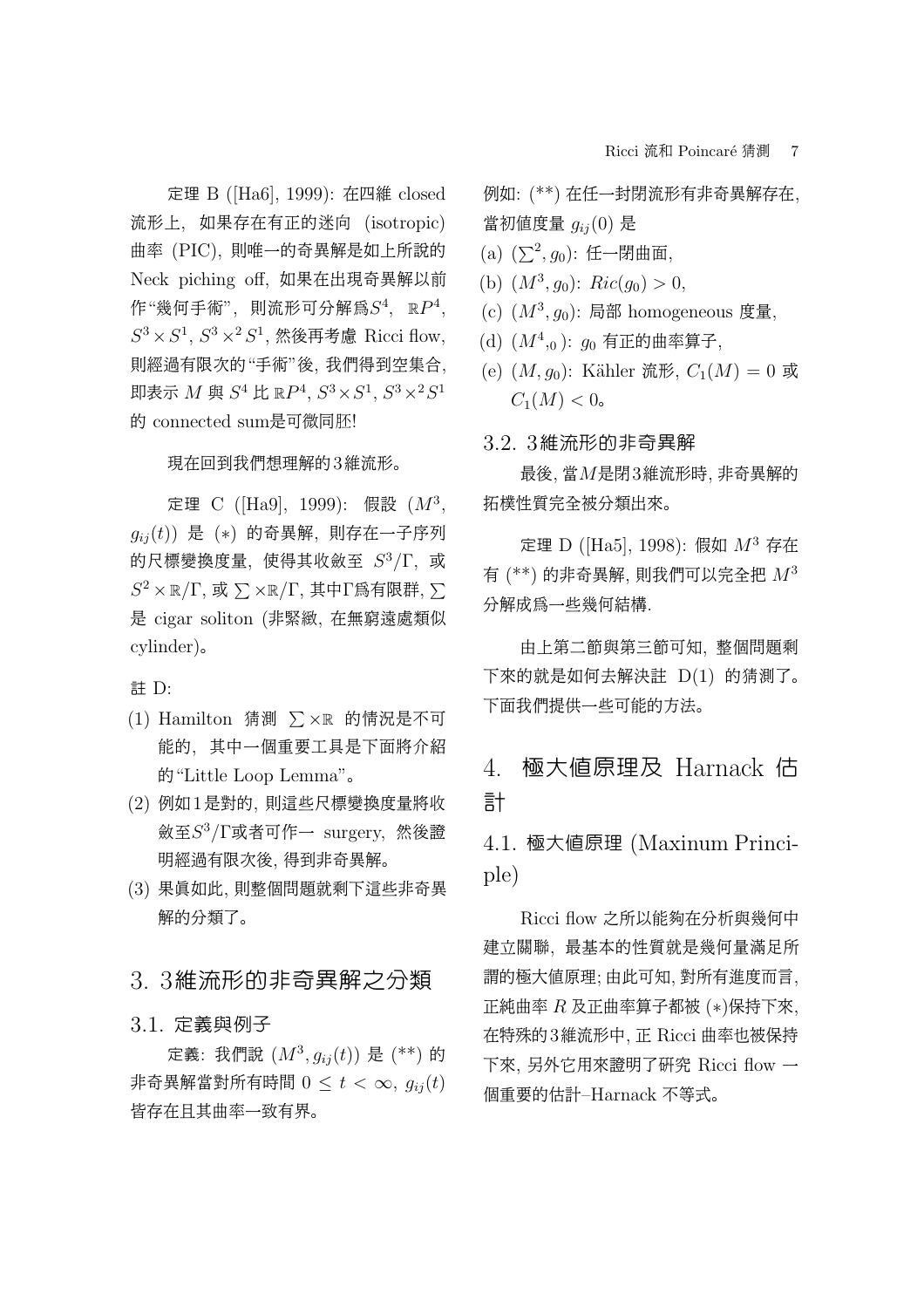定理 B ([Ha6], 1999): 在四維 closed 流形上, 如果存在有正的迷向 (isotropic) 曲率 (PIC), 則唯一的奇異解是如上所說的 Neck piching off, 如果在出現奇異解以前 作"幾何手術", 則流形可分解爲 $S^4$ ,  $\mathbb{R}P^4$ ,  $S^3 \times S^1$ ,  $S^3 \times^2 S^1$ , 然後再考慮 Ricci flow, 則經過有限次的"手術"後, 我們得到空集合, 即表示  $M$  與  $S^4$  比  $\mathbb{R}P^4$ ,  $S^3 \times S^1$ ,  $S^3 \times^2 S^1$ 的 connected sum是可微同胚!

#### 現在回到我們想理解的3維流形。

定理 C ([Ha9], 1999): 假設  $(M^3,$  $g_{ij}(t)$ ) 是 (\*) 的奇異解, 則存在一子序列 的尺標變換度量, 使得其收斂至  $S^3/\Gamma$ , 或  $S^2 \times \mathbb{R}/\Gamma$ , 或  $\sum \times \mathbb{R}/\Gamma$ , 其中 $\Gamma$ 爲有限群,  $\sum$ 是 cigar soliton (非緊緻, 在無窮遠處類似 cylinder)。

註 D:

- (1) Hamilton 猜測  $\sum \times \mathbb{R}$  的情況是不可 能的, 其中一個重要工具是下面將介紹 的"Little Loop Lemma"。
- (2) 例如1是對的, 則這些尺標變換度量將收 斂至 $S^3/\Gamma$ 或者可作一 surgery, 然後證 明經過有限次後, 得到非奇異解。
- (3) 果真如此, 則整個問題就剩下這些非奇異 解的分類了。

### 3. 3維流形的非奇異解之分類

#### 3.1. 定義與例子

定義: 我們說  $(M^3, g_{ij}(t))$  是  $(*^*)$  的 非奇異解當對所有時間  $0 < t < \infty$ ,  $q_{ij}(t)$ 皆存在且其曲率一致有界。

例如: (\*\*) 在任一封閉流形有非奇異解存在, 當初值度量  $q_{ij}(0)$ 是

- (a)  $(\sum^2, g_0)$ : 任一閉曲面,
- (b)  $(M^3, g_0)$ :  $Ric(g_0) > 0$ ,
- (c)  $(M^3, g_0)$ : 局部 homogeneous 度量,
- (d)  $(M<sup>4</sup>,0)$ :  $g_0$  有正的曲率算子,
- (e)  $(M, g_0)$ : Kähler 流形,  $C_1(M) = 0$  或  $C_1(M) < 0$ .

#### 3.2. 3維流形的非奇異解

最後, 當M是閉3維流形時, 非奇異解的 拓樸性質完全被分類出來。

定理 D ([Ha5], 1998): 假如  $M^3$  存在 有  $(***)$  的非奇異解, 則我們可以完全把  $M^3$ 分解成為一些幾何結構.

由上第二節與第三節可知, 整個問題剩 下來的就是如何去解決註 D(1) 的猜測了。 下面我們提供一些可能的方法。

# 4. 極大值原理及 Harnack 估 計

4.1. 極大值原理 (Maxinum Principle)

Ricci flow 之所以能夠在分析與幾何中 建立關聯, 最基本的性質就是幾何量滿足所 謂的極大值原理; 由此可知, 對所有進度而言, 正純曲率 R 及正曲率算子都被 (∗)保持下來, 在特殊的3維流形中, 正 Ricci 曲率也被保持 下來, 另外它用來證明了研究 Ricci flow 一 個重要的估計–Harnack 不等式。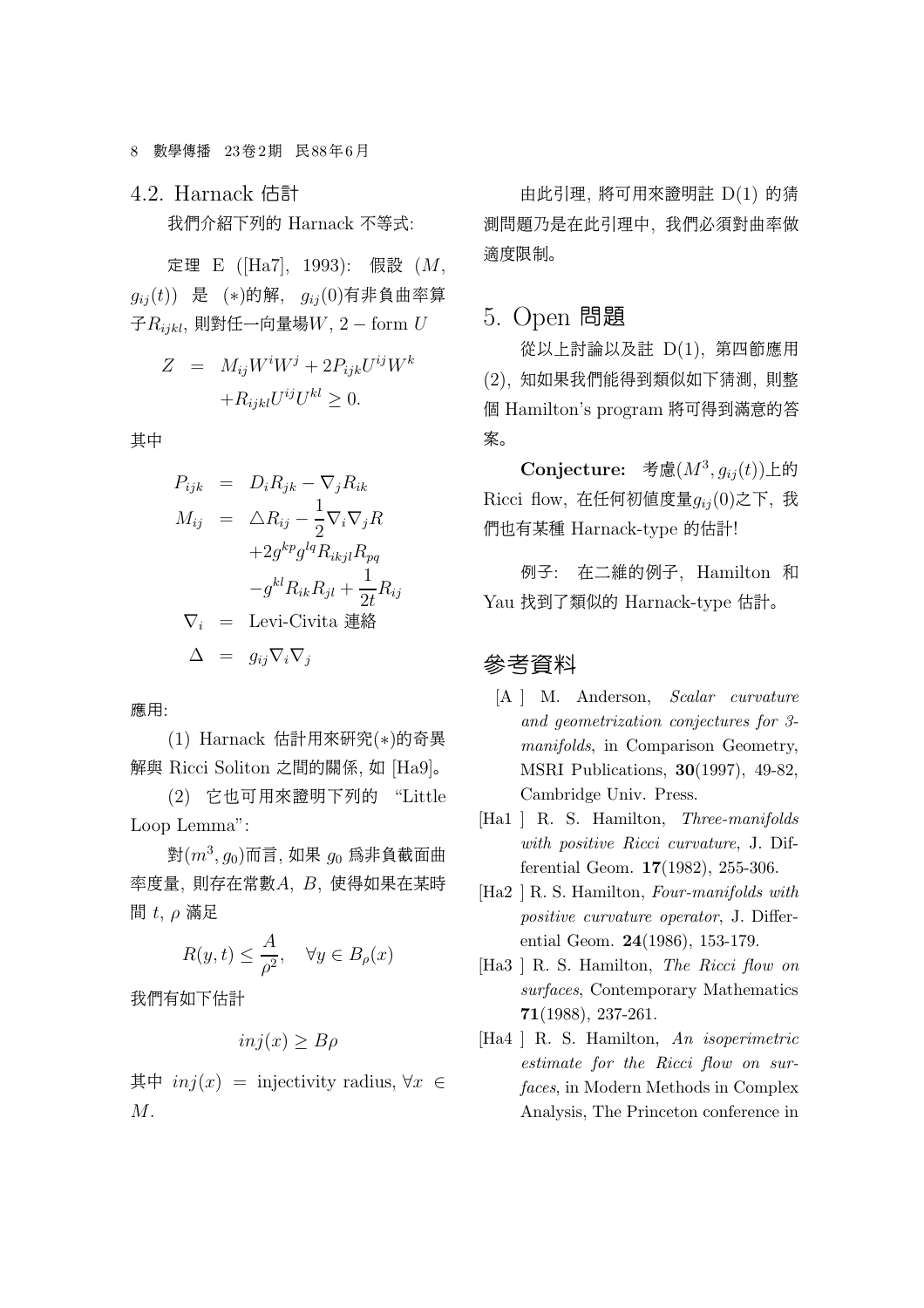4.2. Harnack 估計 我們介紹下列的 Harnack 不等式:

定理 E ([Ha7], 1993): 假設 (M,  $g_{ij}(t)$ ) 是 (\*)的解,  $g_{ij}(0)$ 有非負曲率算 子 $R_{ijkl}$ , 則對任一向量場 $W$ , 2 – form  $U$ 

$$
Z = M_{ij}W^{i}W^{j} + 2P_{ijk}U^{ij}W^{k}
$$

$$
+R_{ijkl}U^{ij}U^{kl} \geq 0.
$$

其中

$$
P_{ijk} = D_i R_{jk} - \nabla_j R_{ik}
$$
  
\n
$$
M_{ij} = \Delta R_{ij} - \frac{1}{2} \nabla_i \nabla_j R
$$
  
\n
$$
+ 2g^{kp} g^{lq} R_{ikjl} R_{pq}
$$
  
\n
$$
-g^{kl} R_{ik} R_{jl} + \frac{1}{2t} R_{ij}
$$
  
\n
$$
\nabla_i = \text{Levi-Civita }\n\ddot{\mathbf{H}}\n\dot{\mathbf{H}}\n\Delta = g_{ij} \nabla_i \nabla_j
$$

應用:

(1) Harnack 估計用來研究(∗)的奇異 解與 Ricci Soliton 之間的關係, 如 [Ha9]。

(2) 它也可用來證明下列的 "Little Loop Lemma":

對 $(m^3, g_0)$ 而言, 如果  $g_0$  為非負截面曲 率度量, 則存在常數A, B, 使得如果在某時 間  $t, \rho$  滿足

$$
R(y,t) \le \frac{A}{\rho^2}, \quad \forall y \in B_{\rho}(x)
$$

我們有如下估計

$$
inj(x) \ge B\rho
$$

其中  $inj(x)$  = injectivity radius,  $\forall x$  ∈ M.

由此引理, 將可用來證明註 D(1) 的猜 測問題乃是在此引理中, 我們必須對曲率做 適度限制。

### 5. Open 問題

從以上討論以及註 D(1), 第四節應用 (2), 知如果我們能得到類似如下猜測, 則整 個 Hamilton's program 將可得到滿意的答 案。

Conjecture: 考慮 $(M^3, g_{ij}(t))$ 上的 Ricci flow, 在任何初值度量 $g_{ij}(0)$ 之下, 我 們也有某種 Harnack-type 的估計!

例子: 在二維的例子, Hamilton 和 Yau 找到了類似的 Harnack-type 估計。

## 參考資料

- [A ] M. Anderson, Scalar curvature and geometrization conjectures for 3 manifolds, in Comparison Geometry, MSRI Publications, 30(1997), 49-82, Cambridge Univ. Press.
- [Ha1 ] R. S. Hamilton, *Three-manifolds* with positive Ricci curvature, J. Differential Geom. 17(1982), 255-306.
- [Ha2 ] R. S. Hamilton, Four-manifolds with positive curvature operator, J. Differential Geom. 24(1986), 153-179.
- [Ha3 ] R. S. Hamilton, The Ricci flow on surfaces, Contemporary Mathematics 71(1988), 237-261.
- [Ha4 ] R. S. Hamilton, An isoperimetric estimate for the Ricci flow on surfaces, in Modern Methods in Complex Analysis, The Princeton conference in